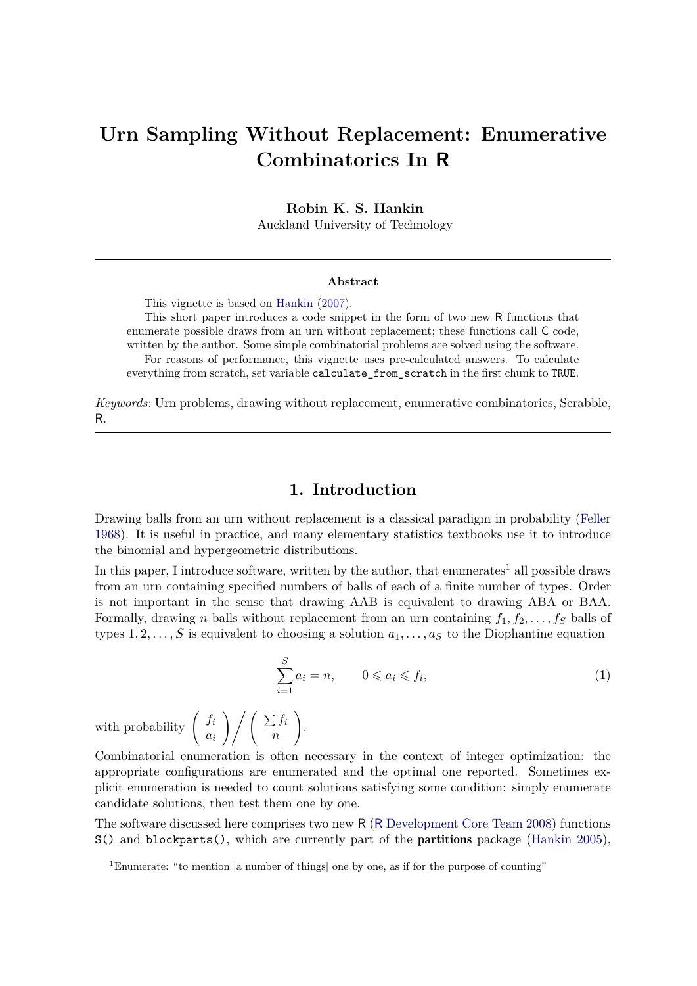# **Urn Sampling Without Replacement: Enumerative Combinatorics In R**

**Robin K. S. Hankin**

Auckland University of Technology

#### **Abstract**

This vignette is based on [Hankin](#page-4-0) [\(2007\)](#page-4-0).

This short paper introduces a code snippet in the form of two new R functions that enumerate possible draws from an urn without replacement; these functions call C code, written by the author. Some simple combinatorial problems are solved using the software. For reasons of performance, this vignette uses pre-calculated answers. To calculate

everything from scratch, set variable calculate\_from\_scratch in the first chunk to TRUE.

*Keywords*: Urn problems, drawing without replacement, enumerative combinatorics, Scrabble, R.

## **1. Introduction**

Drawing balls from an urn without replacement is a classical paradigm in probability [\(Feller](#page-4-1) [1968\)](#page-4-1). It is useful in practice, and many elementary statistics textbooks use it to introduce the binomial and hypergeometric distributions.

In this paper, I introduce software, written by the author, that enumerates<sup>[1](#page-0-0)</sup> all possible draws from an urn containing specified numbers of balls of each of a finite number of types. Order is not important in the sense that drawing AAB is equivalent to drawing ABA or BAA. Formally, drawing *n* balls without replacement from an urn containing  $f_1, f_2, \ldots, f_s$  balls of types  $1, 2, \ldots, S$  is equivalent to choosing a solution  $a_1, \ldots, a_S$  to the Diophantine equation

<span id="page-0-1"></span>
$$
\sum_{i=1}^{S} a_i = n, \qquad 0 \leqslant a_i \leqslant f_i,\tag{1}
$$

with probability  $\left( \begin{array}{c} f_i \\ f_j \end{array} \right)$ *ai*  $\bigwedge$  /  $\bigwedge$   $\Sigma$  *f*<sub>i</sub> *n*  $\setminus$ .

Combinatorial enumeration is often necessary in the context of integer optimization: the appropriate configurations are enumerated and the optimal one reported. Sometimes explicit enumeration is needed to count solutions satisfying some condition: simply enumerate candidate solutions, then test them one by one.

The software discussed here comprises two new R (R [Development Core Team 2008\)](#page-4-2) functions S() and blockparts(), which are currently part of the partitions package [\(Hankin 2005\)](#page-4-3),

<span id="page-0-0"></span><sup>&</sup>lt;sup>1</sup>Enumerate: "to mention [a number of things] one by one, as if for the purpose of counting"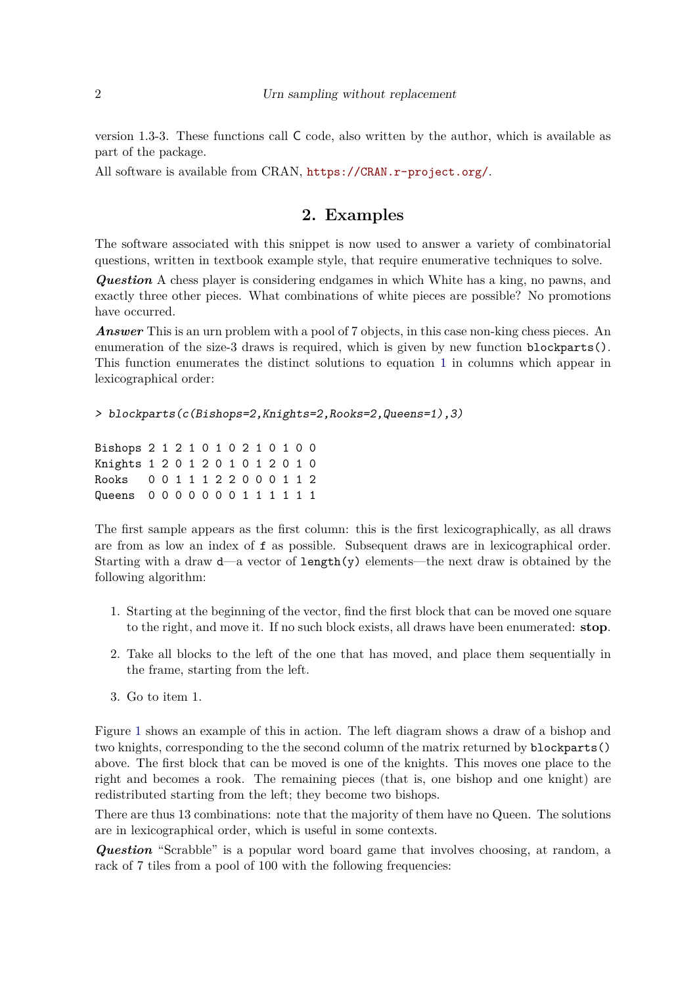version 1.3-3. These functions call C code, also written by the author, which is available as part of the package.

All software is available from CRAN, <https://CRAN.r-project.org/>.

# **2. Examples**

The software associated with this snippet is now used to answer a variety of combinatorial questions, written in textbook example style, that require enumerative techniques to solve.

*Question* A chess player is considering endgames in which White has a king, no pawns, and exactly three other pieces. What combinations of white pieces are possible? No promotions have occurred.

*Answer* This is an urn problem with a pool of 7 objects, in this case non-king chess pieces. An enumeration of the size-3 draws is required, which is given by new function blockparts(). This function enumerates the distinct solutions to equation [1](#page-0-1) in columns which appear in lexicographical order:

```
> blockparts(c(Bishops=2,Knights=2,Rooks=2,Queens=1),3)
```
Bishops 2 1 2 1 0 1 0 2 1 0 1 0 0 Knights 1 2 0 1 2 0 1 0 1 2 0 1 0 Rooks 0 0 1 1 1 2 2 0 0 0 1 1 2 Queens 0 0 0 0 0 0 0 1 1 1 1 1 1

The first sample appears as the first column: this is the first lexicographically, as all draws are from as low an index of f as possible. Subsequent draws are in lexicographical order. Starting with a draw d—a vector of length(y) elements—the next draw is obtained by the following algorithm:

- 1. Starting at the beginning of the vector, find the first block that can be moved one square to the right, and move it. If no such block exists, all draws have been enumerated: **stop**.
- 2. Take all blocks to the left of the one that has moved, and place them sequentially in the frame, starting from the left.
- 3. Go to item 1.

Figure [1](#page-2-0) shows an example of this in action. The left diagram shows a draw of a bishop and two knights, corresponding to the the second column of the matrix returned by blockparts() above. The first block that can be moved is one of the knights. This moves one place to the right and becomes a rook. The remaining pieces (that is, one bishop and one knight) are redistributed starting from the left; they become two bishops.

There are thus 13 combinations: note that the majority of them have no Queen. The solutions are in lexicographical order, which is useful in some contexts.

*Question* "Scrabble" is a popular word board game that involves choosing, at random, a rack of 7 tiles from a pool of 100 with the following frequencies: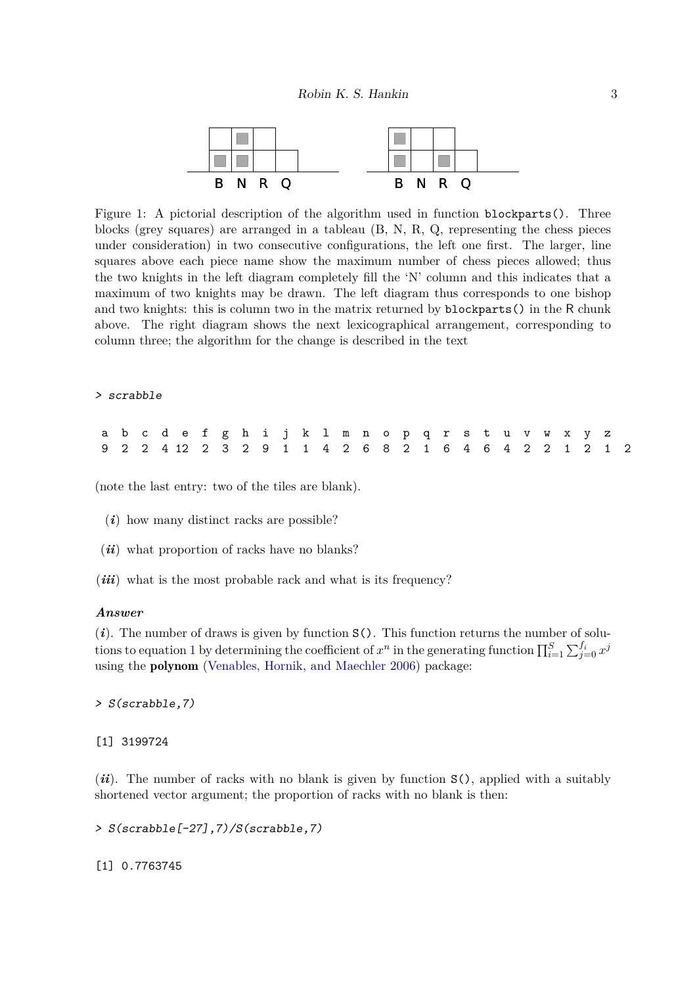

<span id="page-2-0"></span>Figure 1: A pictorial description of the algorithm used in function blockparts(). Three blocks (grey squares) are arranged in a tableau (B, N, R, Q, representing the chess pieces under consideration) in two consecutive configurations, the left one first. The larger, line squares above each piece name show the maximum number of chess pieces allowed; thus the two knights in the left diagram completely fill the 'N' column and this indicates that a maximum of two knights may be drawn. The left diagram thus corresponds to one bishop and two knights: this is column two in the matrix returned by blockparts() in the R chunk above. The right diagram shows the next lexicographical arrangement, corresponding to column three; the algorithm for the change is described in the text

#### > scrabble

|  |  | a b c d e f g h i j k l m n o p q r s t u v w x y z    |  |  |  |  |  |  |  |  |  |  |  |
|--|--|--------------------------------------------------------|--|--|--|--|--|--|--|--|--|--|--|
|  |  | 9 2 2 4 12 2 3 2 9 1 1 4 2 6 8 2 1 6 4 6 4 2 2 1 2 1 2 |  |  |  |  |  |  |  |  |  |  |  |

(note the last entry: two of the tiles are blank).

- (*i*) how many distinct racks are possible?
- (*ii*) what proportion of racks have no blanks?
- (*iii*) what is the most probable rack and what is its frequency?

#### *Answer*

 $(i)$ . The number of draws is given by function  $S()$ . This function returns the number of solu-tions to equation [1](#page-0-1) by determining the coefficient of  $x^n$  in the generating function  $\prod_{i=1}^S \sum_{j=0}^{f_i} x^j$ using the polynom [\(Venables, Hornik, and Maechler 2006\)](#page-4-4) package:

> S(scrabble,7)

[1] 3199724

(*ii*). The number of racks with no blank is given by function S(), applied with a suitably shortened vector argument; the proportion of racks with no blank is then:

> S(scrabble[-27],7)/S(scrabble,7)

[1] 0.7763745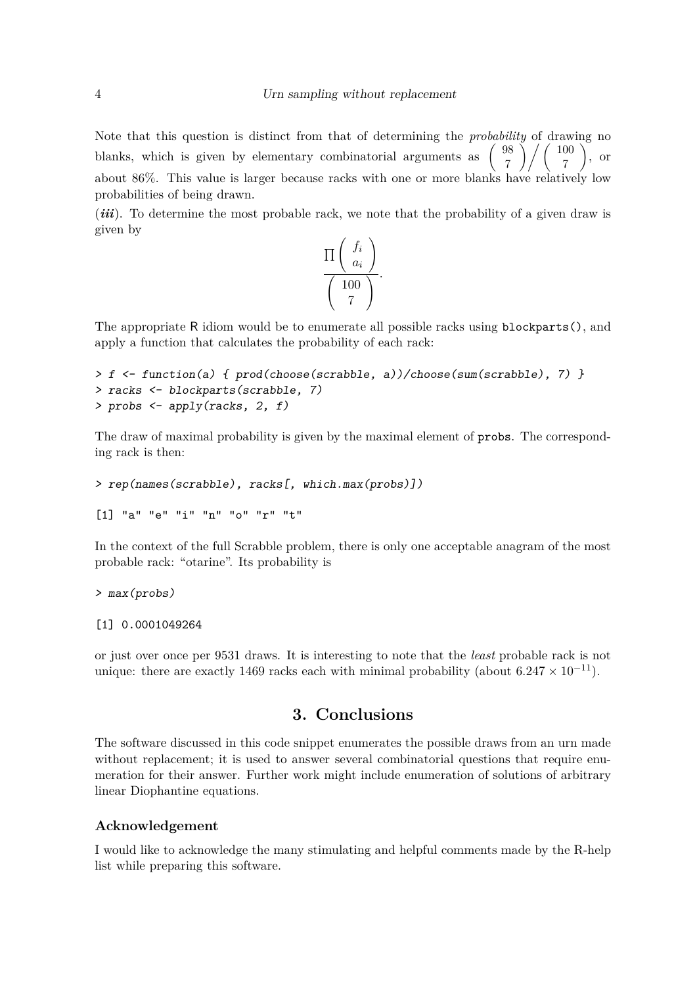Note that this question is distinct from that of determining the *probability* of drawing no blanks, which is given by elementary combinatorial arguments as  $\begin{pmatrix} 98 \\ 7 \end{pmatrix}$ 7  $\binom{100}{ }$ 7  $\setminus$ , or about 86%. This value is larger because racks with one or more blanks have relatively low probabilities of being drawn.

(*iii*). To determine the most probable rack, we note that the probability of a given draw is given by

$$
\frac{\Pi\left(\begin{array}{c}f_i\\a_i\end{array}\right)}{\left(\begin{array}{c}100\\7\end{array}\right)}.
$$

The appropriate R idiom would be to enumerate all possible racks using blockparts(), and apply a function that calculates the probability of each rack:

```
> f <- function(a) { prod(choose(scrabble, a))/choose(sum(scrabble), 7) }
> racks <- blockparts(scrabble, 7)
> probs <- apply(racks, 2, f)
```
The draw of maximal probability is given by the maximal element of probs. The corresponding rack is then:

```
> rep(names(scrabble), racks[, which.max(probs)])
```
[1] "a" "e" "i" "n" "o" "r" "t"

In the context of the full Scrabble problem, there is only one acceptable anagram of the most probable rack: "otarine". Its probability is

```
> max(probs)
```

```
[1] 0.0001049264
```
or just over once per 9531 draws. It is interesting to note that the *least* probable rack is not unique: there are exactly 1469 racks each with minimal probability (about  $6.247 \times 10^{-11}$ ).

# **3. Conclusions**

The software discussed in this code snippet enumerates the possible draws from an urn made without replacement; it is used to answer several combinatorial questions that require enumeration for their answer. Further work might include enumeration of solutions of arbitrary linear Diophantine equations.

## **Acknowledgement**

I would like to acknowledge the many stimulating and helpful comments made by the R-help list while preparing this software.